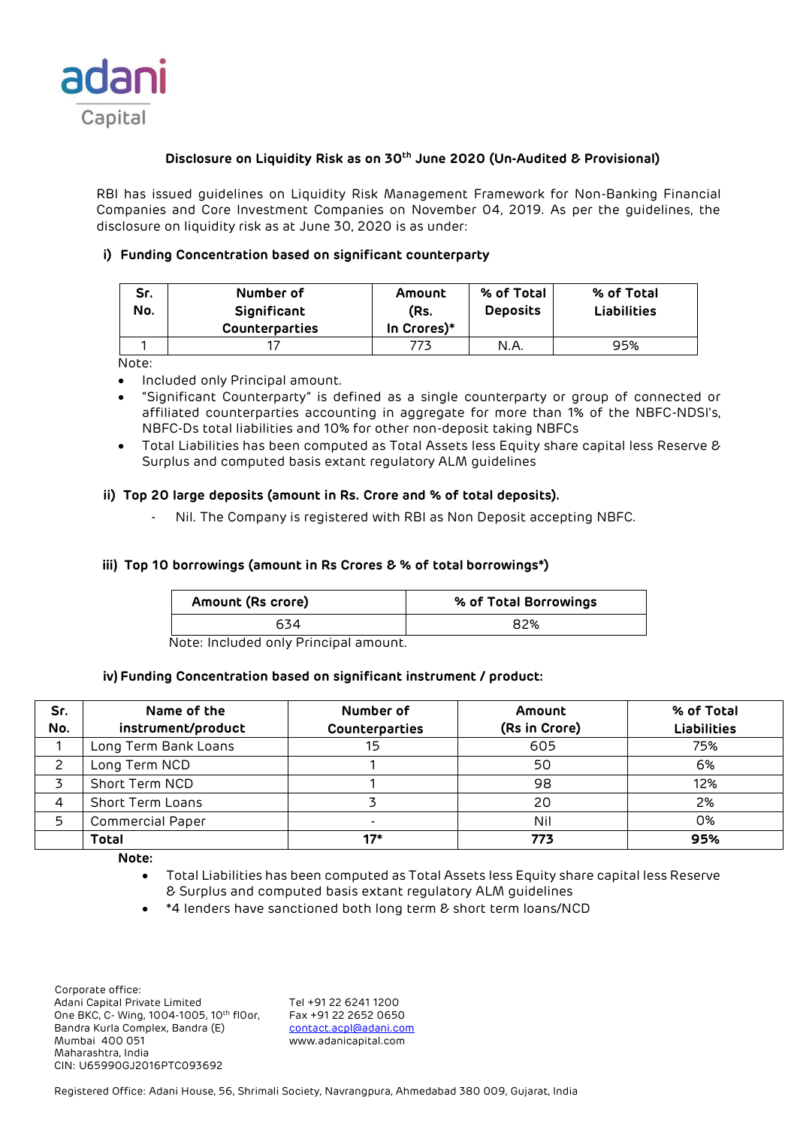

# **Disclosure on Liquidity Risk as on 30th June 2020 (Un-Audited & Provisional)**

RBI has issued guidelines on Liquidity Risk Management Framework for Non-Banking Financial Companies and Core Investment Companies on November 04, 2019. As per the guidelines, the disclosure on liquidity risk as at June 30, 2020 is as under:

# **i) Funding Concentration based on significant counterparty**

| Sr.<br>No. | Number of<br>Significant<br><b>Counterparties</b> | Amount<br>(Rs.<br>In Crores)* | % of Total<br><b>Deposits</b> | % of Total<br><b>Liabilities</b> |
|------------|---------------------------------------------------|-------------------------------|-------------------------------|----------------------------------|
|            |                                                   |                               | N.A                           | 95%                              |

Note:

- Included only Principal amount.
- "Significant Counterparty" is defined as a single counterparty or group of connected or affiliated counterparties accounting in aggregate for more than 1% of the NBFC-NDSI's, NBFC-Ds total liabilities and 10% for other non-deposit taking NBFCs
- Total Liabilities has been computed as Total Assets less Equity share capital less Reserve & Surplus and computed basis extant regulatory ALM guidelines

### **ii) Top 20 large deposits (amount in Rs. Crore and % of total deposits).**

Nil. The Company is registered with RBI as Non Deposit accepting NBFC.

# **iii) Top 10 borrowings (amount in Rs Crores & % of total borrowings\*)**

| Amount (Rs crore) | % of Total Borrowings |
|-------------------|-----------------------|
| 534               | 82%                   |

Note: Included only Principal amount.

### **iv) Funding Concentration based on significant instrument / product:**

| Sr.<br>No. | Name of the<br>instrument/product | Number of<br>Counterparties | Amount<br>(Rs in Crore) | % of Total<br><b>Liabilities</b> |
|------------|-----------------------------------|-----------------------------|-------------------------|----------------------------------|
|            | Long Term Bank Loans              | 15                          | 605                     | 75%                              |
|            | Long Term NCD                     |                             | 50                      | 6%                               |
|            | Short Term NCD                    |                             | 98                      | 12%                              |
|            | <b>Short Term Loans</b>           |                             | 20                      | 2%                               |
| 5          | <b>Commercial Paper</b>           |                             | Nil                     | 0%                               |
|            | <b>Total</b>                      | 17*                         | 773                     | 95%                              |

**Note:** 

- Total Liabilities has been computed as Total Assets less Equity share capital less Reserve & Surplus and computed basis extant regulatory ALM guidelines
- \*4 lenders have sanctioned both long term & short term loans/NCD

 Corporate office: Adani Capital Private Limited Tel +91 22 6241 1200<br>One BKC, C- Wing, 1004-1005, 10th flOor, Fax +91 22 2652 0650 One BKC, C- Wing, 1004-1005, 10th fl0or, Bandra Kurla Complex, Bandra (E) [contact.acpl@adani.com](mailto:contact.acpl@adani.com) Mumbai 400 051 www.adanicapital.com Maharashtra, India CIN: U65990GJ2016PTC093692